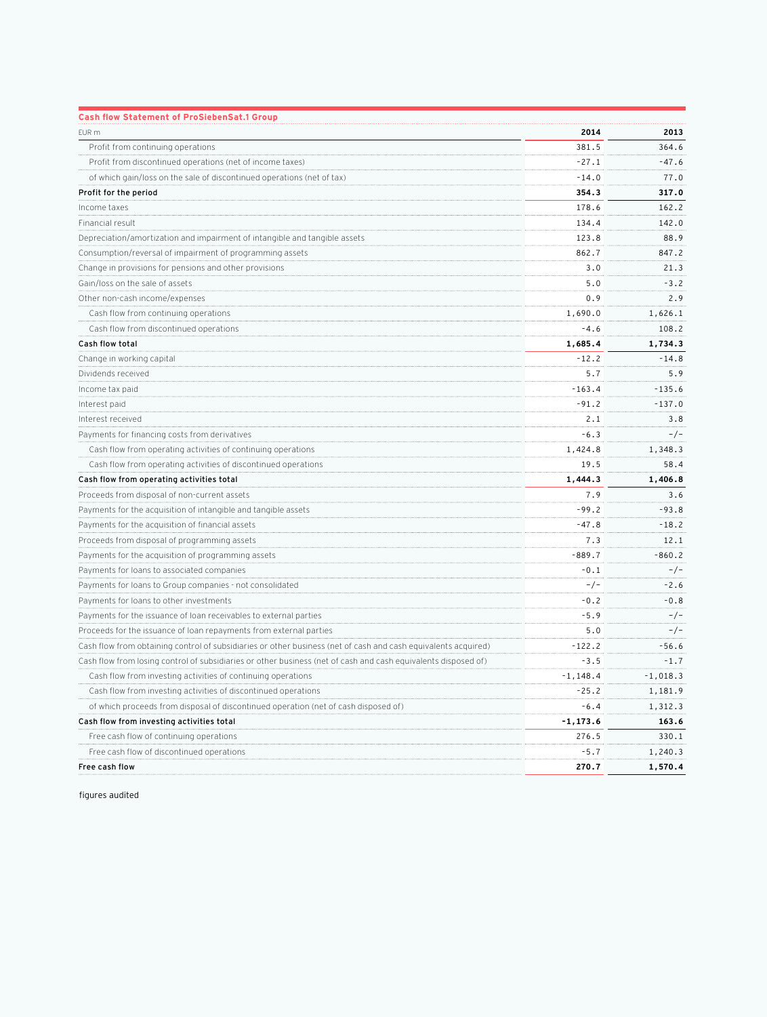| <b>Cash flow Statement of ProSiebenSat.1 Group</b>                                                             |          |            |
|----------------------------------------------------------------------------------------------------------------|----------|------------|
| EUR m                                                                                                          | 2014     | 2013       |
| Profit from continuing operations                                                                              | 381.5    | 364.6      |
| Profit from discontinued operations (net of income taxes)                                                      | -27.1    | $-47.6$    |
| of which gain/loss on the sale of discontinued operations (net of tax)                                         | $-14.0$  | 77.0       |
| Profit for the period                                                                                          | 354.3    | 317.0      |
| Income taxes                                                                                                   | 178.6    | 162.2      |
| Financial result                                                                                               | 134.4    | 142.0      |
| Depreciation/amortization and impairment of intangible and tangible assets                                     | 123.8    | 88.9       |
| Consumption/reversal of impairment of programming assets                                                       | 862.7    | 847.2      |
| Change in provisions for pensions and other provisions                                                         | 3.0      | 21.3       |
| Gain/loss on the sale of assets                                                                                | 5.0      | $-3.2$     |
| Other non-cash income/expenses                                                                                 | 0.9      | 2.9        |
| Cash flow from continuing operations                                                                           | 1,690.0  | 1,626.1    |
| Cash flow from discontinued operations                                                                         | $-4.6$   | 108.2      |
| Cash flow total                                                                                                | 1,685.4  | 1,734.3    |
| Change in working capital                                                                                      | $-12.2$  | $-14.8$    |
| Dividends received                                                                                             | 5.7      | 5.9        |
| Income tax paid                                                                                                | $-163.4$ | $-135.6$   |
| Interest paid                                                                                                  | $-91.2$  | $-137.0$   |
| Interest received                                                                                              | 2.1      | 3.8        |
| Payments for financing costs from derivatives                                                                  | $-6.3$   | $-/-$      |
| Cash flow from operating activities of continuing operations                                                   | 1,424.8  | 1,348.3    |
| Cash flow from operating activities of discontinued operations                                                 | 19.5     | 58.4       |
| Cash flow from operating activities total                                                                      | 1,444.3  | 1,406.8    |
| Proceeds from disposal of non-current assets                                                                   | 7.9      | 3.6        |
| Payments for the acquisition of intangible and tangible assets                                                 | -99.2    | $-93.8$    |
| Payments for the acquisition of financial assets                                                               | -47.8    | $-18.2$    |
| Proceeds from disposal of programming assets                                                                   | 7.3      | 12.1       |
| Payments for the acquisition of programming assets                                                             | $-889.7$ | $-860.2$   |
| Payments for loans to associated companies                                                                     | $-0.1$   | $-/-$      |
| Payments for loans to Group companies - not consolidated                                                       | $-/-$    | $-2.6$     |
| Payments for loans to other investments                                                                        | $-0.2$   | $-0.8$     |
| Payments for the issuance of loan receivables to external parties                                              | $-5.9$   | $-/-$      |
| Proceeds for the issuance of loan repayments from external parties                                             | 5.0      | $-/-$      |
| Cash flow from obtaining control of subsidiaries or other business (net of cash and cash equivalents acquired) | -122.2   | $-56.6$    |
| Cash flow from losing control of subsidiaries or other business (net of cash and cash equivalents disposed of) | $-3.5$   | $-1.7$     |
| Cash flow from investing activities of continuing operations                                                   | -1,148.4 | $-1,018.3$ |
| Cash flow from investing activities of discontinued operations                                                 | $-25.2$  | 1,181.9    |
| of which proceeds from disposal of discontinued operation (net of cash disposed of)                            | $-6.4$   | 1,312.3    |
| Cash flow from investing activities total                                                                      | -1,173.6 | 163.6      |
| Free cash flow of continuing operations                                                                        | 276.5    | 330.1      |
| Free cash flow of discontinued operations                                                                      | $-5.7$   | 1,240.3    |
| Free cash flow                                                                                                 | 270.7    | 1,570.4    |

figures audited